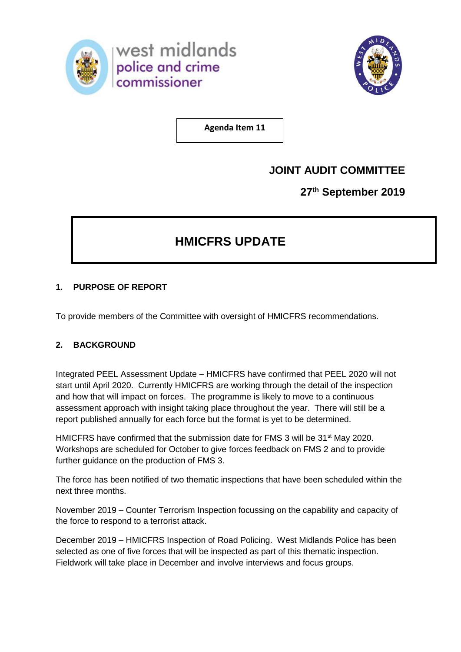



**Agenda Item 11**

## **JOINT AUDIT COMMITTEE**

**27th September 2019**

# **HMICFRS UPDATE**

## **1. PURPOSE OF REPORT**

To provide members of the Committee with oversight of HMICFRS recommendations.

## **2. BACKGROUND**

Integrated PEEL Assessment Update – HMICFRS have confirmed that PEEL 2020 will not start until April 2020. Currently HMICFRS are working through the detail of the inspection and how that will impact on forces. The programme is likely to move to a continuous assessment approach with insight taking place throughout the year. There will still be a report published annually for each force but the format is yet to be determined.

HMICFRS have confirmed that the submission date for FMS 3 will be 31<sup>st</sup> May 2020. Workshops are scheduled for October to give forces feedback on FMS 2 and to provide further guidance on the production of FMS 3.

The force has been notified of two thematic inspections that have been scheduled within the next three months.

November 2019 – Counter Terrorism Inspection focussing on the capability and capacity of the force to respond to a terrorist attack.

December 2019 – HMICFRS Inspection of Road Policing. West Midlands Police has been selected as one of five forces that will be inspected as part of this thematic inspection. Fieldwork will take place in December and involve interviews and focus groups.